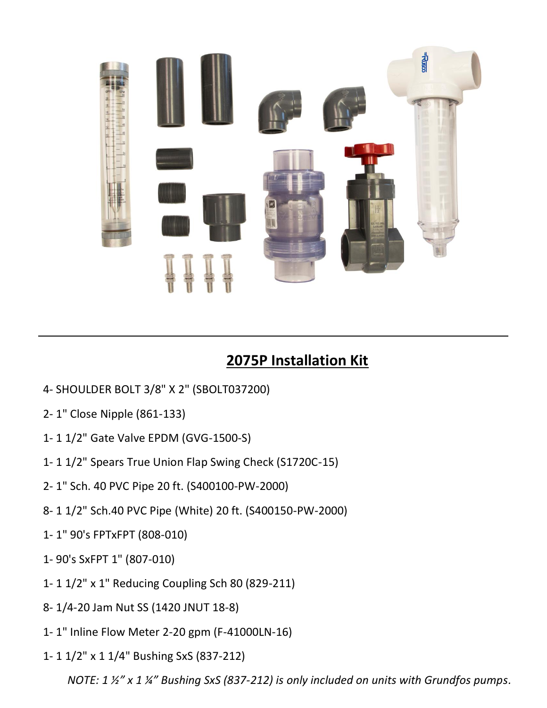

## **2075P Installation Kit**

- 4- SHOULDER BOLT 3/8" X 2" (SBOLT037200)
- 2- 1" Close Nipple (861-133)
- 1- 1 1/2" Gate Valve EPDM (GVG-1500-S)
- 1- 1 1/2" Spears True Union Flap Swing Check (S1720C-15)
- 2- 1" Sch. 40 PVC Pipe 20 ft. (S400100-PW-2000)
- 8- 1 1/2" Sch.40 PVC Pipe (White) 20 ft. (S400150-PW-2000)
- 1- 1" 90's FPTxFPT (808-010)
- 1- 90's SxFPT 1" (807-010)
- 1- 1 1/2" x 1" Reducing Coupling Sch 80 (829-211)
- 8- 1/4-20 Jam Nut SS (1420 JNUT 18-8)
- 1- 1" Inline Flow Meter 2-20 gpm (F-41000LN-16)
- 1- 1 1/2" x 1 1/4" Bushing SxS (837-212)

*NOTE: 1 ½" x 1 ¼" Bushing SxS (837-212) is only included on units with Grundfos pumps.*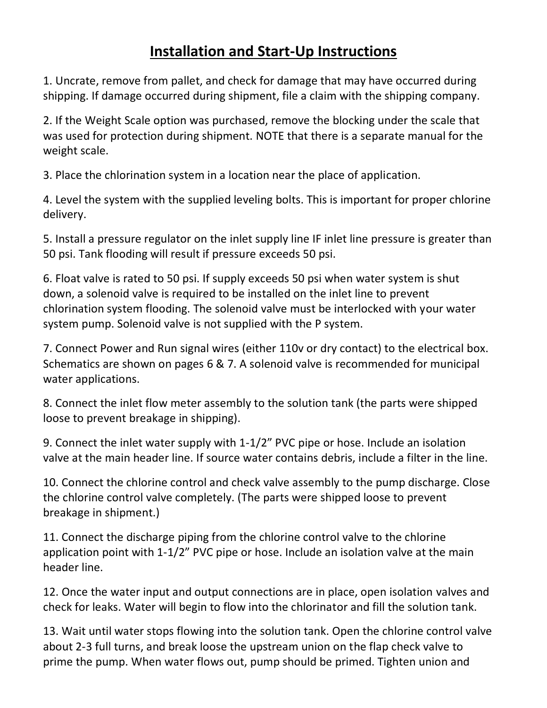## **Installation and Start-Up Instructions**

1. Uncrate, remove from pallet, and check for damage that may have occurred during shipping. If damage occurred during shipment, file a claim with the shipping company.

2. If the Weight Scale option was purchased, remove the blocking under the scale that was used for protection during shipment. NOTE that there is a separate manual for the weight scale.

3. Place the chlorination system in a location near the place of application.

4. Level the system with the supplied leveling bolts. This is important for proper chlorine delivery.

5. Install a pressure regulator on the inlet supply line IF inlet line pressure is greater than 50 psi. Tank flooding will result if pressure exceeds 50 psi.

6. Float valve is rated to 50 psi. If supply exceeds 50 psi when water system is shut down, a solenoid valve is required to be installed on the inlet line to prevent chlorination system flooding. The solenoid valve must be interlocked with your water system pump. Solenoid valve is not supplied with the P system.

7. Connect Power and Run signal wires (either 110v or dry contact) to the electrical box. Schematics are shown on pages 6 & 7. A solenoid valve is recommended for municipal water applications.

8. Connect the inlet flow meter assembly to the solution tank (the parts were shipped loose to prevent breakage in shipping).

9. Connect the inlet water supply with 1-1/2" PVC pipe or hose. Include an isolation valve at the main header line. If source water contains debris, include a filter in the line.

10. Connect the chlorine control and check valve assembly to the pump discharge. Close the chlorine control valve completely. (The parts were shipped loose to prevent breakage in shipment.)

11. Connect the discharge piping from the chlorine control valve to the chlorine application point with 1-1/2" PVC pipe or hose. Include an isolation valve at the main header line.

12. Once the water input and output connections are in place, open isolation valves and check for leaks. Water will begin to flow into the chlorinator and fill the solution tank.

13. Wait until water stops flowing into the solution tank. Open the chlorine control valve about 2-3 full turns, and break loose the upstream union on the flap check valve to prime the pump. When water flows out, pump should be primed. Tighten union and